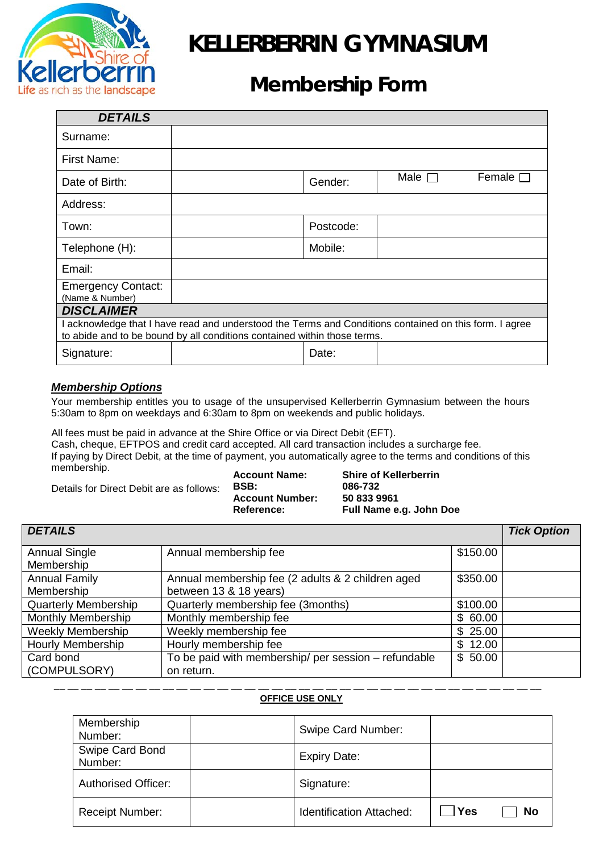

# **KELLERBERRIN GYMNASIUM**

## **Membership Form**

| <b>DETAILS</b>                                                                                                                                                                     |  |           |                |                  |  |  |
|------------------------------------------------------------------------------------------------------------------------------------------------------------------------------------|--|-----------|----------------|------------------|--|--|
| Surname:                                                                                                                                                                           |  |           |                |                  |  |  |
| First Name:                                                                                                                                                                        |  |           |                |                  |  |  |
| Date of Birth:                                                                                                                                                                     |  | Gender:   | Male $\square$ | Female $\square$ |  |  |
| Address:                                                                                                                                                                           |  |           |                |                  |  |  |
| Town:                                                                                                                                                                              |  | Postcode: |                |                  |  |  |
| Telephone (H):                                                                                                                                                                     |  | Mobile:   |                |                  |  |  |
| Email:                                                                                                                                                                             |  |           |                |                  |  |  |
| <b>Emergency Contact:</b><br>(Name & Number)                                                                                                                                       |  |           |                |                  |  |  |
| <b>DISCLAIMER</b>                                                                                                                                                                  |  |           |                |                  |  |  |
| I acknowledge that I have read and understood the Terms and Conditions contained on this form. I agree<br>to abide and to be bound by all conditions contained within those terms. |  |           |                |                  |  |  |
| Signature:                                                                                                                                                                         |  | Date:     |                |                  |  |  |

### *Membership Options*

Your membership entitles you to usage of the unsupervised Kellerberrin Gymnasium between the hours 5:30am to 8pm on weekdays and 6:30am to 8pm on weekends and public holidays.

All fees must be paid in advance at the Shire Office or via Direct Debit (EFT). Cash, cheque, EFTPOS and credit card accepted. All card transaction includes a surcharge fee. If paying by Direct Debit, at the time of payment, you automatically agree to the terms and conditions of this membership.

Details for Direct Debit are as follows:

**Account Name: Shire of Kellerberrin** 086-732<br>50 833 9961 Account Number:<br>Reference: **Full Name e.g. John Doe** 

| <b>DETAILS</b>                     |                                                                             |          |  |  |
|------------------------------------|-----------------------------------------------------------------------------|----------|--|--|
| <b>Annual Single</b><br>Membership | Annual membership fee                                                       | \$150.00 |  |  |
| <b>Annual Family</b><br>Membership | Annual membership fee (2 adults & 2 children aged<br>between 13 & 18 years) | \$350.00 |  |  |
| <b>Quarterly Membership</b>        | Quarterly membership fee (3months)                                          | \$100.00 |  |  |
| <b>Monthly Membership</b>          | Monthly membership fee                                                      | \$60.00  |  |  |
| <b>Weekly Membership</b>           | Weekly membership fee                                                       | \$25.00  |  |  |
| <b>Hourly Membership</b>           | Hourly membership fee                                                       | \$12.00  |  |  |
| Card bond<br>(COMPULSORY)          | To be paid with membership/ per session - refundable<br>on return.          | \$50.00  |  |  |

#### \_\_ \_\_ \_\_ \_\_ \_\_ \_\_ \_\_ \_\_ \_\_ \_\_ \_\_ \_\_ \_\_ \_\_ \_\_ \_\_ \_\_ \_\_ \_\_ \_\_ \_\_ \_\_ \_\_ \_\_ \_\_ \_\_ \_\_ \_\_ \_\_ \_\_ \_\_ \_\_ \_\_ \_\_ \_\_ \_\_ **OFFICE USE ONLY**

| Membership<br>Number:      | Swipe Card Number:              |     |    |
|----------------------------|---------------------------------|-----|----|
| Swipe Card Bond<br>Number: | <b>Expiry Date:</b>             |     |    |
| <b>Authorised Officer:</b> | Signature:                      |     |    |
| <b>Receipt Number:</b>     | <b>Identification Attached:</b> | Yes | No |